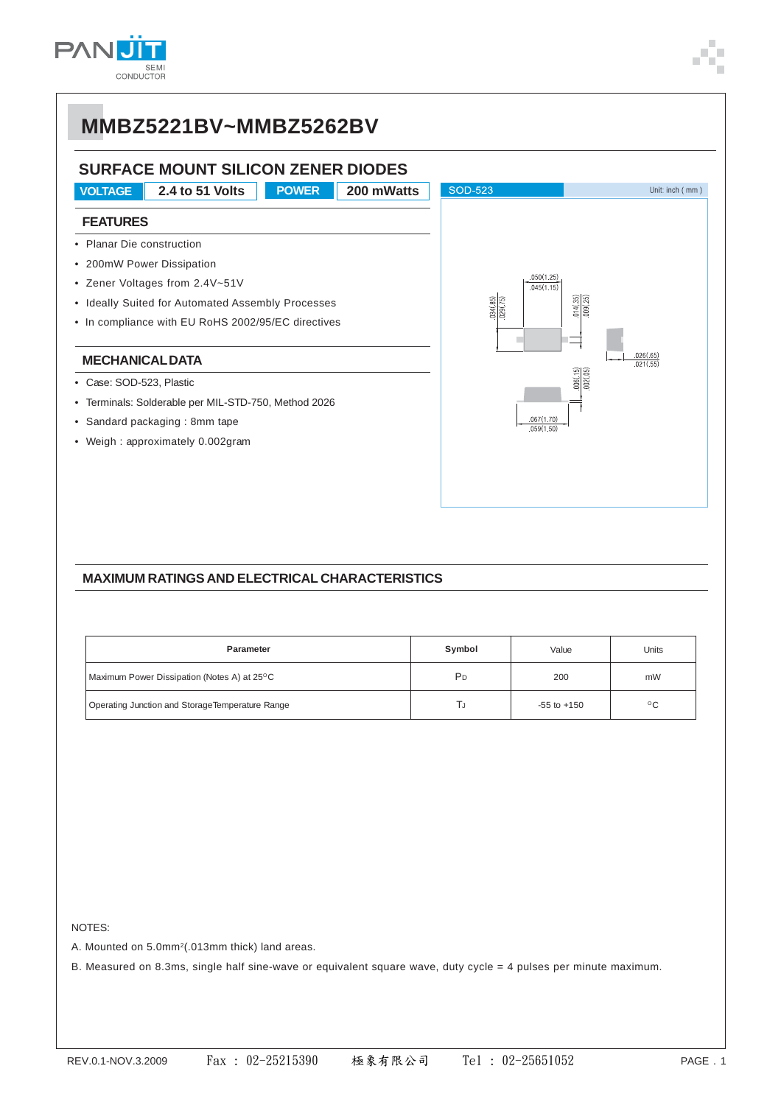

# **MMBZ5221BV~MMBZ5262BV**

### **SURFACE MOUNT SILICON ZENER DIODES**

**VOLTAGE 2.4 to 51 Volts POWER 200 mWatts SOD-523** Unit: inch (mm) **FEATURES** • Planar Die construction • 200mW Power Dissipation  $.050(1.25)$ • Zener Voltages from 2.4V~51V  $.045(1.15)$  $\frac{014(35)}{009(25)}$ • Ideally Suited for Automated Assembly Processes  $31(85)$  $129(7)$ • In compliance with EU RoHS 2002/95/EC directives  $\frac{026(65)}{021(55)}$ **MECHANICAL DATA** • Case: SOD-523, Plastic • Terminals: Solderable per MIL-STD-750, Method 2026 • Sandard packaging : 8mm tape  $050(1.5)$ • Weigh : approximately 0.002gram

### **MAXIMUM RATINGS AND ELECTRICAL CHARACTERISTICS**

| Parameter                                       | Symbol         | Value           | Units        |  |
|-------------------------------------------------|----------------|-----------------|--------------|--|
| Maximum Power Dissipation (Notes A) at 25°C     | P <sub>D</sub> | 200             | mW           |  |
| Operating Junction and StorageTemperature Range | IJ             | $-55$ to $+150$ | $^{\circ}$ C |  |

NOTES:

A. Mounted on 5.0mm<sup>2</sup>(.013mm thick) land areas.

B. Measured on 8.3ms, single half sine-wave or equivalent square wave, duty cycle = 4 pulses per minute maximum.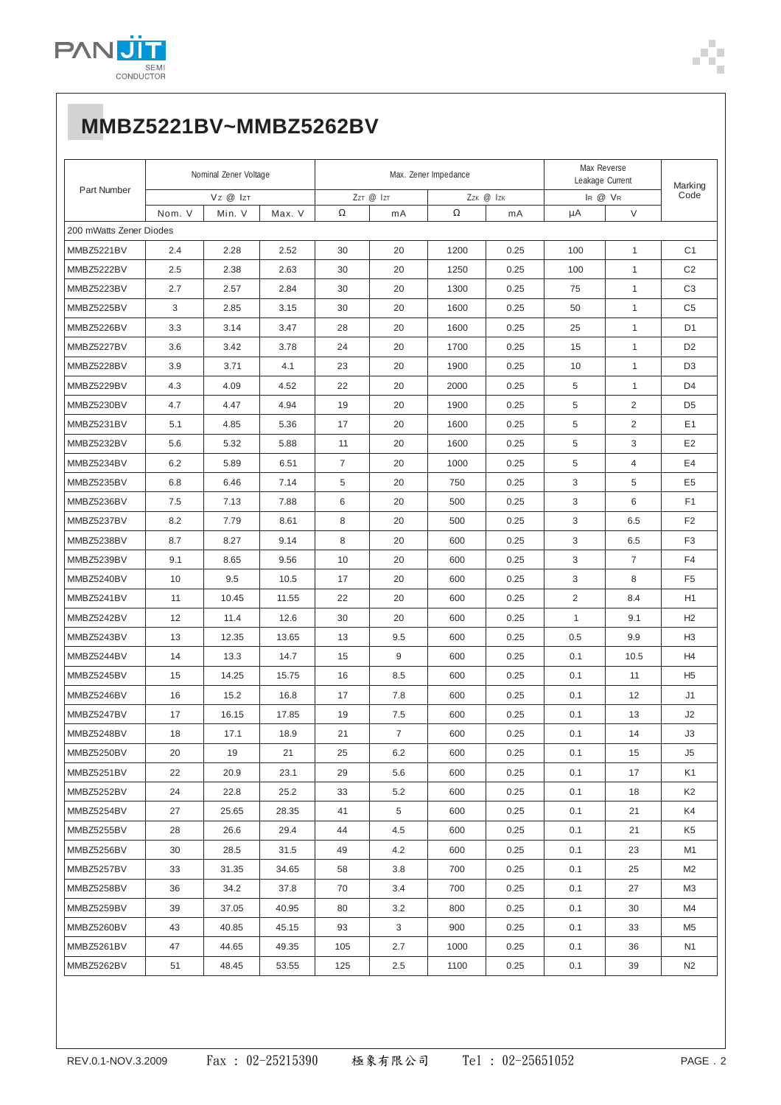

# MMBZ5221BV~MMBZ5262BV

| Part Number             | Nominal Zener Voltage |        |           | Max. Zener Impedance |                |      |         | Max Reverse<br>Leakage Current |                | Marking        |
|-------------------------|-----------------------|--------|-----------|----------------------|----------------|------|---------|--------------------------------|----------------|----------------|
|                         | Vz @ IzT              |        | ZzT @ IzT |                      | Zzk @ Izk      |      | IR @ VR |                                | Code           |                |
|                         | Nom. V                | Min. V | Max. V    | Ω                    | mA             | Ω    | mA      | μA                             | $\vee$         |                |
| 200 mWatts Zener Diodes |                       |        |           |                      |                |      |         |                                |                |                |
| MMBZ5221BV              | 2.4                   | 2.28   | 2.52      | 30                   | 20             | 1200 | 0.25    | 100                            | $\mathbf{1}$   | C <sub>1</sub> |
| MMBZ5222BV              | 2.5                   | 2.38   | 2.63      | 30                   | 20             | 1250 | 0.25    | 100                            | $\mathbf{1}$   | C <sub>2</sub> |
| MMBZ5223BV              | 2.7                   | 2.57   | 2.84      | 30                   | 20             | 1300 | 0.25    | 75                             | $\mathbf{1}$   | C <sub>3</sub> |
| MMBZ5225BV              | 3                     | 2.85   | 3.15      | 30                   | 20             | 1600 | 0.25    | 50                             | $\mathbf{1}$   | C <sub>5</sub> |
| MMBZ5226BV              | 3.3                   | 3.14   | 3.47      | 28                   | 20             | 1600 | 0.25    | 25                             | $\mathbf{1}$   | D <sub>1</sub> |
| MMBZ5227BV              | 3.6                   | 3.42   | 3.78      | 24                   | 20             | 1700 | 0.25    | 15                             | $\mathbf{1}$   | D <sub>2</sub> |
| MMBZ5228BV              | 3.9                   | 3.71   | 4.1       | 23                   | 20             | 1900 | 0.25    | 10                             | $\mathbf{1}$   | D <sub>3</sub> |
| MMBZ5229BV              | 4.3                   | 4.09   | 4.52      | 22                   | 20             | 2000 | 0.25    | 5                              | $\mathbf{1}$   | D <sub>4</sub> |
| MMBZ5230BV              | 4.7                   | 4.47   | 4.94      | 19                   | 20             | 1900 | 0.25    | 5                              | 2              | D <sub>5</sub> |
| MMBZ5231BV              | 5.1                   | 4.85   | 5.36      | 17                   | 20             | 1600 | 0.25    | 5                              | 2              | E1             |
| MMBZ5232BV              | 5.6                   | 5.32   | 5.88      | 11                   | 20             | 1600 | 0.25    | 5                              | 3              | E2             |
| MMBZ5234BV              | 6.2                   | 5.89   | 6.51      | $\overline{7}$       | 20             | 1000 | 0.25    | 5                              | $\overline{4}$ | E4             |
| MMBZ5235BV              | 6.8                   | 6.46   | 7.14      | 5                    | 20             | 750  | 0.25    | 3                              | 5              | E <sub>5</sub> |
| MMBZ5236BV              | 7.5                   | 7.13   | 7.88      | 6                    | 20             | 500  | 0.25    | 3                              | 6              | F <sub>1</sub> |
| MMBZ5237BV              | 8.2                   | 7.79   | 8.61      | 8                    | 20             | 500  | 0.25    | 3                              | 6.5            | F <sub>2</sub> |
| MMBZ5238BV              | 8.7                   | 8.27   | 9.14      | 8                    | 20             | 600  | 0.25    | 3                              | 6.5            | F <sub>3</sub> |
| MMBZ5239BV              | 9.1                   | 8.65   | 9.56      | 10                   | 20             | 600  | 0.25    | 3                              | $\overline{7}$ | F <sub>4</sub> |
| MMBZ5240BV              | 10                    | 9.5    | 10.5      | 17                   | 20             | 600  | 0.25    | 3                              | 8              | F <sub>5</sub> |
| MMBZ5241BV              | 11                    | 10.45  | 11.55     | 22                   | 20             | 600  | 0.25    | $\overline{2}$                 | 8.4            | H1             |
| MMBZ5242BV              | 12                    | 11.4   | 12.6      | 30                   | 20             | 600  | 0.25    | $\mathbf{1}$                   | 9.1            | H <sub>2</sub> |
| MMBZ5243BV              | 13                    | 12.35  | 13.65     | 13                   | 9.5            | 600  | 0.25    | 0.5                            | 9.9            | H <sub>3</sub> |
| MMBZ5244BV              | 14                    | 13.3   | 14.7      | 15                   | 9              | 600  | 0.25    | 0.1                            | 10.5           | H4             |
| MMBZ5245BV              | 15                    | 14.25  | 15.75     | 16                   | 8.5            | 600  | 0.25    | 0.1                            | 11             | H <sub>5</sub> |
| MMBZ5246BV              | 16                    | 15.2   | 16.8      | 17                   | 7.8            | 600  | 0.25    | 0.1                            | 12             | J1             |
| MMBZ5247BV              | 17                    | 16.15  | 17.85     | 19                   | 7.5            | 600  | 0.25    | 0.1                            | 13             | J2             |
| MMBZ5248BV              | 18                    | 17.1   | 18.9      | 21                   | $\overline{7}$ | 600  | 0.25    | 0.1                            | 14             | J3             |
| MMBZ5250BV              | 20                    | 19     | 21        | 25                   | 6.2            | 600  | 0.25    | 0.1                            | 15             | J5             |
| MMBZ5251BV              | 22                    | 20.9   | 23.1      | 29                   | 5.6            | 600  | 0.25    | 0.1                            | 17             | K1             |
| MMBZ5252BV              | 24                    | 22.8   | 25.2      | 33                   | 5.2            | 600  | 0.25    | 0.1                            | 18             | K <sub>2</sub> |
| MMBZ5254BV              | 27                    | 25.65  | 28.35     | 41                   | 5              | 600  | 0.25    | 0.1                            | 21             | K4             |
| MMBZ5255BV              | 28                    | 26.6   | 29.4      | 44                   | 4.5            | 600  | 0.25    | 0.1                            | 21             | K5             |
| MMBZ5256BV              | 30                    | 28.5   | 31.5      | 49                   | 4.2            | 600  | 0.25    | 0.1                            | 23             | M1             |
| MMBZ5257BV              | 33                    | 31.35  | 34.65     | 58                   | 3.8            | 700  | 0.25    | 0.1                            | 25             | M2             |
| MMBZ5258BV              | 36                    | 34.2   | 37.8      | 70                   | 3.4            | 700  | 0.25    | 0.1                            | 27             | ΜЗ             |
| MMBZ5259BV              | 39                    | 37.05  | 40.95     | 80                   | 3.2            | 800  | 0.25    | 0.1                            | 30             | M4             |
| MMBZ5260BV              | 43                    | 40.85  | 45.15     | 93                   | 3              | 900  | 0.25    | 0.1                            | 33             | M5             |
| MMBZ5261BV              | 47                    | 44.65  | 49.35     | 105                  | 2.7            | 1000 | 0.25    | 0.1                            | 36             | N1             |
| MMBZ5262BV              | 51                    | 48.45  | 53.55     | 125                  | 2.5            | 1100 | 0.25    | 0.1                            | 39             | N <sub>2</sub> |
|                         |                       |        |           |                      |                |      |         |                                |                |                |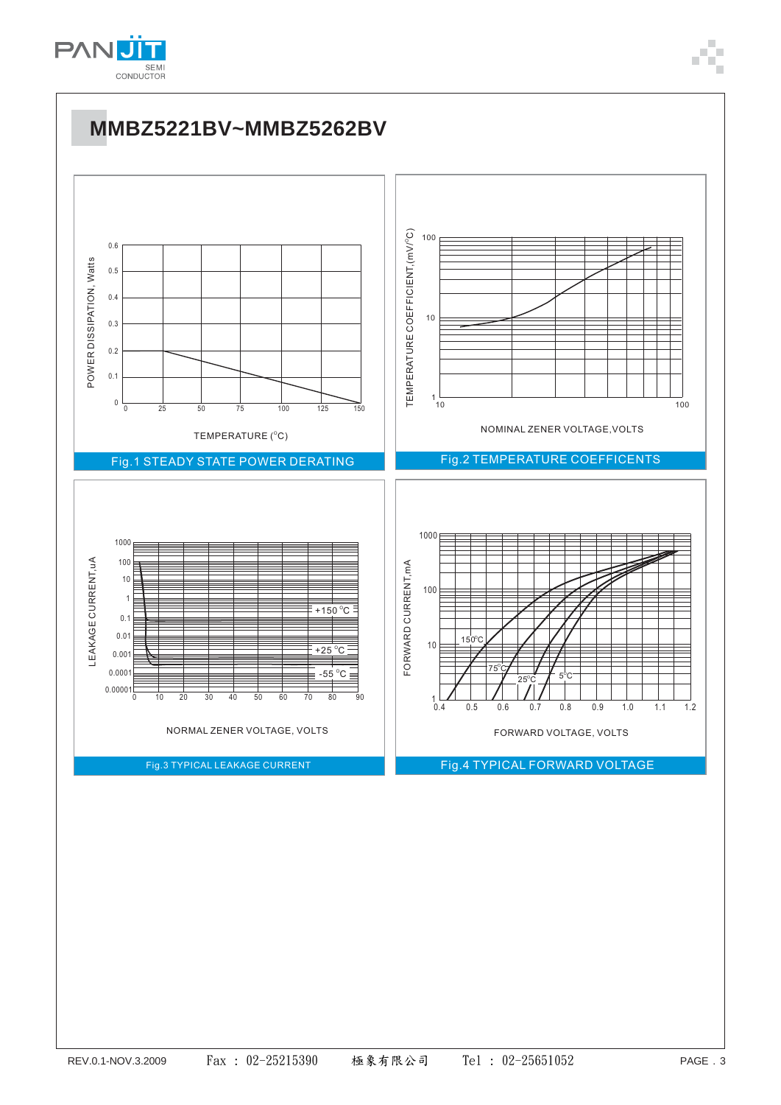